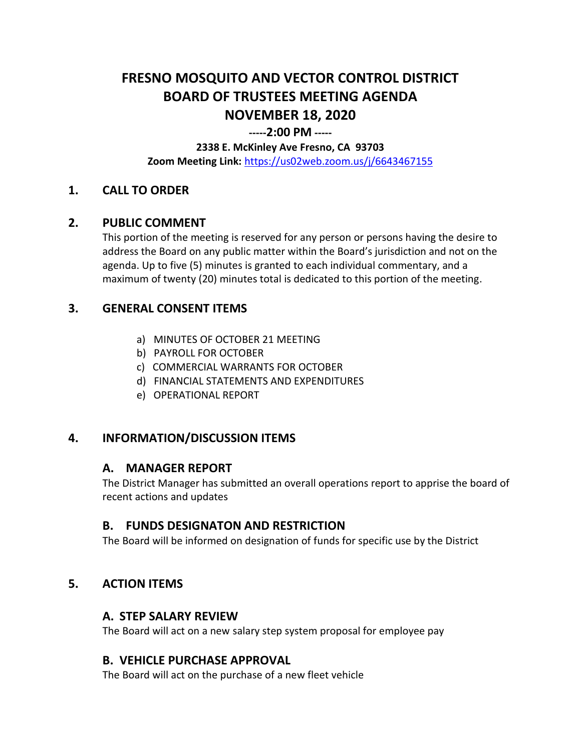# **FRESNO MOSQUITO AND VECTOR CONTROL DISTRICT BOARD OF TRUSTEES MEETING AGENDA NOVEMBER 18, 2020**

#### **-----2:00 PM -----**

## **2338 E. McKinley Ave Fresno, CA 93703**

**Zoom Meeting Link:** <https://us02web.zoom.us/j/6643467155>

# **1. CALL TO ORDER**

## **2. PUBLIC COMMENT**

This portion of the meeting is reserved for any person or persons having the desire to address the Board on any public matter within the Board's jurisdiction and not on the agenda. Up to five (5) minutes is granted to each individual commentary, and a maximum of twenty (20) minutes total is dedicated to this portion of the meeting.

# **3. GENERAL CONSENT ITEMS**

- a) MINUTES OF OCTOBER 21 MEETING
- b) PAYROLL FOR OCTOBER
- c) COMMERCIAL WARRANTS FOR OCTOBER
- d) FINANCIAL STATEMENTS AND EXPENDITURES
- e) OPERATIONAL REPORT

## **4. INFORMATION/DISCUSSION ITEMS**

## **A. MANAGER REPORT**

The District Manager has submitted an overall operations report to apprise the board of recent actions and updates

## **B. FUNDS DESIGNATON AND RESTRICTION**

The Board will be informed on designation of funds for specific use by the District

## **5. ACTION ITEMS**

## **A. STEP SALARY REVIEW**

The Board will act on a new salary step system proposal for employee pay

## **B. VEHICLE PURCHASE APPROVAL**

The Board will act on the purchase of a new fleet vehicle